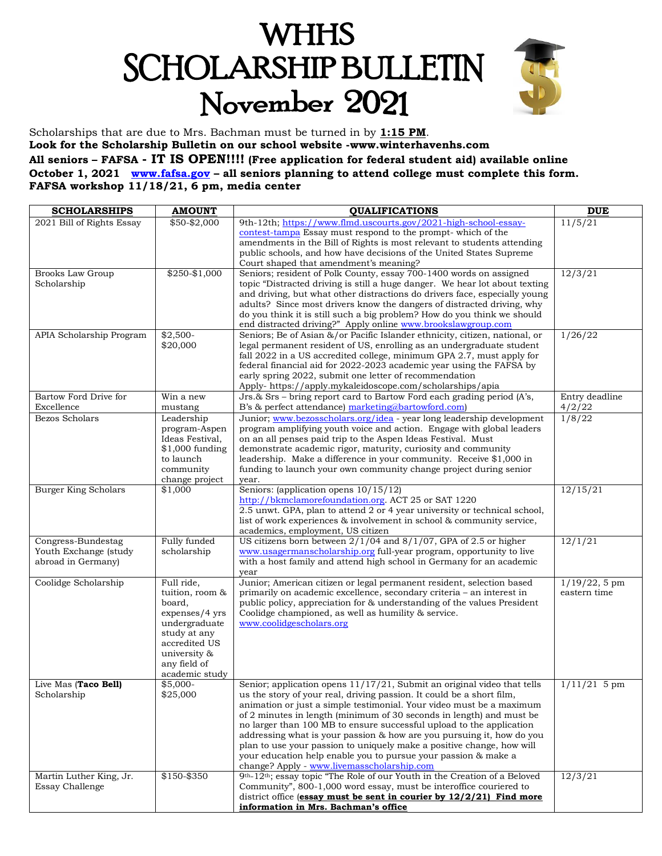# **WHHS SCHOLARSHIP BULLETIN** November 2021



Scholarships that are due to Mrs. Bachman must be turned in by **1:15 PM**. **Look for the Scholarship Bulletin on our school website -www.winterhavenhs.com All seniors – FAFSA - IT IS OPEN!!!! (Free application for federal student aid) available online October 1, 2021 [www.fafsa.gov](http://www.fafsa.gov/) – all seniors planning to attend college must complete this form. FAFSA workshop 11/18/21, 6 pm, media center**

| <b>SCHOLARSHIPS</b>                        | <b>AMOUNT</b>                       | <b>QUALIFICATIONS</b>                                                                                                                          | <b>DUE</b>       |
|--------------------------------------------|-------------------------------------|------------------------------------------------------------------------------------------------------------------------------------------------|------------------|
| 2021 Bill of Rights Essay                  | $$50 - $2,000$                      | 9th-12th; https://www.flmd.uscourts.gov/2021-high-school-essay-                                                                                | 11/5/21          |
|                                            |                                     | contest-tampa Essay must respond to the prompt-which of the                                                                                    |                  |
|                                            |                                     | amendments in the Bill of Rights is most relevant to students attending                                                                        |                  |
|                                            |                                     | public schools, and how have decisions of the United States Supreme<br>Court shaped that amendment's meaning?                                  |                  |
| <b>Brooks Law Group</b>                    | $$250 - $1,000$                     | Seniors; resident of Polk County, essay 700-1400 words on assigned                                                                             | 12/3/21          |
| Scholarship                                |                                     | topic "Distracted driving is still a huge danger. We hear lot about texting                                                                    |                  |
|                                            |                                     | and driving, but what other distractions do drivers face, especially young                                                                     |                  |
|                                            |                                     | adults? Since most drivers know the dangers of distracted driving, why                                                                         |                  |
|                                            |                                     | do you think it is still such a big problem? How do you think we should                                                                        |                  |
|                                            |                                     | end distracted driving?" Apply online www.brookslawgroup.com                                                                                   |                  |
| APIA Scholarship Program                   | $$2,500-$<br>\$20,000               | Seniors; Be of Asian &/or Pacific Islander ethnicity, citizen, national, or                                                                    | 1/26/22          |
|                                            |                                     | legal permanent resident of US, enrolling as an undergraduate student<br>fall 2022 in a US accredited college, minimum GPA 2.7, must apply for |                  |
|                                            |                                     | federal financial aid for 2022-2023 academic year using the FAFSA by                                                                           |                  |
|                                            |                                     | early spring 2022, submit one letter of recommendation                                                                                         |                  |
|                                            |                                     | Apply- https://apply.mykaleidoscope.com/scholarships/apia                                                                                      |                  |
| Bartow Ford Drive for                      | Win a new                           | Jrs.& Srs - bring report card to Bartow Ford each grading period (A's,                                                                         | Entry deadline   |
| Excellence                                 | mustang                             | B's & perfect attendance) marketing@bartowford.com)                                                                                            | 4/2/22           |
| Bezos Scholars                             | Leadership                          | Junior; www.bezosscholars.org/idea - year long leadership development                                                                          | 1/8/22           |
|                                            | program-Aspen                       | program amplifying youth voice and action. Engage with global leaders                                                                          |                  |
|                                            | Ideas Festival,<br>$$1,000$ funding | on an all penses paid trip to the Aspen Ideas Festival. Must                                                                                   |                  |
|                                            | to launch                           | demonstrate academic rigor, maturity, curiosity and community<br>leadership. Make a difference in your community. Receive \$1,000 in           |                  |
|                                            | community                           | funding to launch your own community change project during senior                                                                              |                  |
|                                            | change project                      | year.                                                                                                                                          |                  |
| <b>Burger King Scholars</b>                | \$1,000                             | Seniors: (application opens 10/15/12)                                                                                                          | 12/15/21         |
|                                            |                                     | http://bkmclamorefoundation.org. ACT 25 or SAT 1220                                                                                            |                  |
|                                            |                                     | 2.5 unwt. GPA, plan to attend 2 or 4 year university or technical school,                                                                      |                  |
|                                            |                                     | list of work experiences & involvement in school & community service,<br>academics, employment, US citizen                                     |                  |
| Congress-Bundestag                         | Fully funded                        | US citizens born between $2/1/04$ and $8/1/07$ , GPA of 2.5 or higher                                                                          | 12/1/21          |
| Youth Exchange (study                      | scholarship                         | www.usagermanscholarship.org full-year program, opportunity to live                                                                            |                  |
| abroad in Germany)                         |                                     | with a host family and attend high school in Germany for an academic                                                                           |                  |
|                                            |                                     | year                                                                                                                                           |                  |
| Coolidge Scholarship                       | Full ride,                          | Junior; American citizen or legal permanent resident, selection based                                                                          | $1/19/22$ , 5 pm |
|                                            | tuition, room &                     | primarily on academic excellence, secondary criteria - an interest in                                                                          | eastern time     |
|                                            | board,                              | public policy, appreciation for & understanding of the values President                                                                        |                  |
|                                            | expenses/4 yrs<br>undergraduate     | Coolidge championed, as well as humility & service.<br>www.coolidgescholars.org                                                                |                  |
|                                            | study at any                        |                                                                                                                                                |                  |
|                                            | accredited US                       |                                                                                                                                                |                  |
|                                            | university &                        |                                                                                                                                                |                  |
|                                            | any field of                        |                                                                                                                                                |                  |
|                                            | academic study                      |                                                                                                                                                |                  |
| Live Mas (Taco Bell)                       | $$5,000-$<br>\$25,000               | Senior; application opens 11/17/21, Submit an original video that tells                                                                        | $1/11/21$ 5 pm   |
| Scholarship                                |                                     | us the story of your real, driving passion. It could be a short film,<br>animation or just a simple testimonial. Your video must be a maximum  |                  |
|                                            |                                     | of 2 minutes in length (minimum of 30 seconds in length) and must be                                                                           |                  |
|                                            |                                     | no larger than 100 MB to ensure successful upload to the application                                                                           |                  |
|                                            |                                     | addressing what is your passion & how are you pursuing it, how do you                                                                          |                  |
|                                            |                                     | plan to use your passion to uniquely make a positive change, how will                                                                          |                  |
|                                            |                                     | your education help enable you to pursue your passion & make a                                                                                 |                  |
|                                            | \$150-\$350                         | change? Apply - www.livemasscholarship.com<br>9th-12th; essay topic "The Role of our Youth in the Creation of a Beloved                        |                  |
| Martin Luther King, Jr.<br>Essay Challenge |                                     | Community", 800-1,000 word essay, must be interoffice couriered to                                                                             | 12/3/21          |
|                                            |                                     | district office (essay must be sent in courier by 12/2/21) Find more                                                                           |                  |
|                                            |                                     | information in Mrs. Bachman's office                                                                                                           |                  |